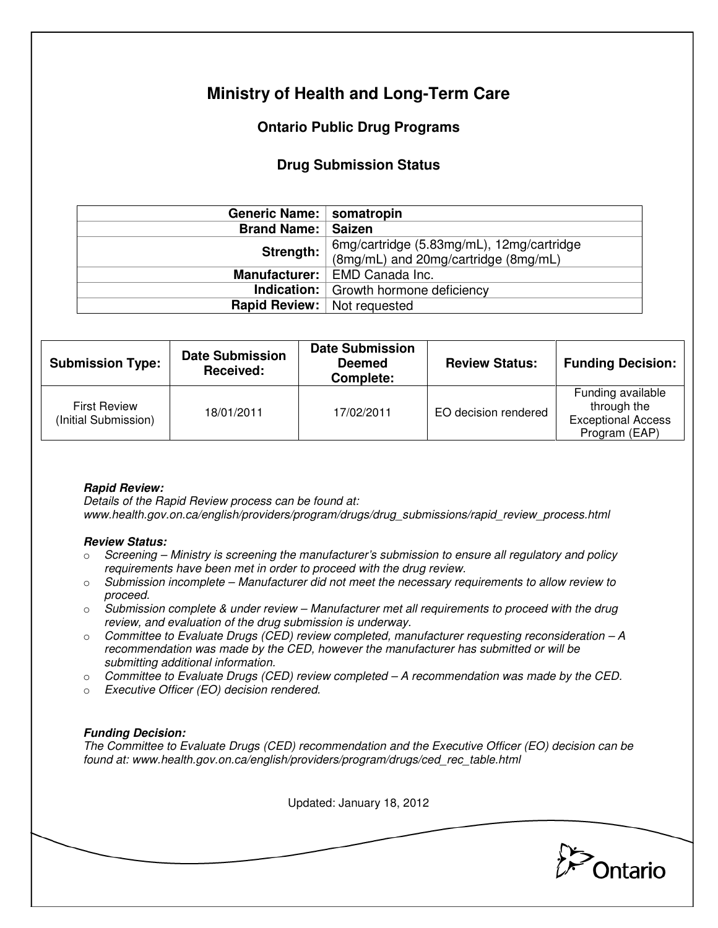# **Ministry of Health and Long-Term Care**

## **Ontario Public Drug Programs**

### **Drug Submission Status**

| Generic Name:   somatropin         |                                              |  |
|------------------------------------|----------------------------------------------|--|
| <b>Brand Name:   Saizen</b>        |                                              |  |
| Strength:                          | 6mg/cartridge (5.83mg/mL), 12mg/cartridge    |  |
|                                    | (8mg/mL) and 20mg/cartridge (8mg/mL)         |  |
| Manufacturer:  <br>EMD Canada Inc. |                                              |  |
|                                    | <b>Indication:</b> Growth hormone deficiency |  |
| Rapid Review:                      | Not requested                                |  |

| <b>Submission Type:</b>                     | <b>Date Submission</b><br><b>Received:</b> | <b>Date Submission</b><br><b>Deemed</b><br>Complete: | <b>Review Status:</b> | <b>Funding Decision:</b>                                                       |
|---------------------------------------------|--------------------------------------------|------------------------------------------------------|-----------------------|--------------------------------------------------------------------------------|
| <b>First Review</b><br>(Initial Submission) | 18/01/2011                                 | 17/02/2011                                           | EO decision rendered  | Funding available<br>through the<br><b>Exceptional Access</b><br>Program (EAP) |

### **Rapid Review:**

Details of the Rapid Review process can be found at: www.health.gov.on.ca/english/providers/program/drugs/drug\_submissions/rapid\_review\_process.html

#### **Review Status:**

- $\circ$  Screening Ministry is screening the manufacturer's submission to ensure all regulatory and policy requirements have been met in order to proceed with the drug review.
- $\circ$  Submission incomplete Manufacturer did not meet the necessary requirements to allow review to proceed.
- $\circ$  Submission complete & under review Manufacturer met all requirements to proceed with the drug review, and evaluation of the drug submission is underway.
- $\circ$  Committee to Evaluate Drugs (CED) review completed, manufacturer requesting reconsideration  $-A$ recommendation was made by the CED, however the manufacturer has submitted or will be submitting additional information.
- $\circ$  Committee to Evaluate Drugs (CED) review completed A recommendation was made by the CED.
- o Executive Officer (EO) decision rendered.

### **Funding Decision:**

The Committee to Evaluate Drugs (CED) recommendation and the Executive Officer (EO) decision can be found at: www.health.gov.on.ca/english/providers/program/drugs/ced\_rec\_table.html

Updated: January 18, 2012